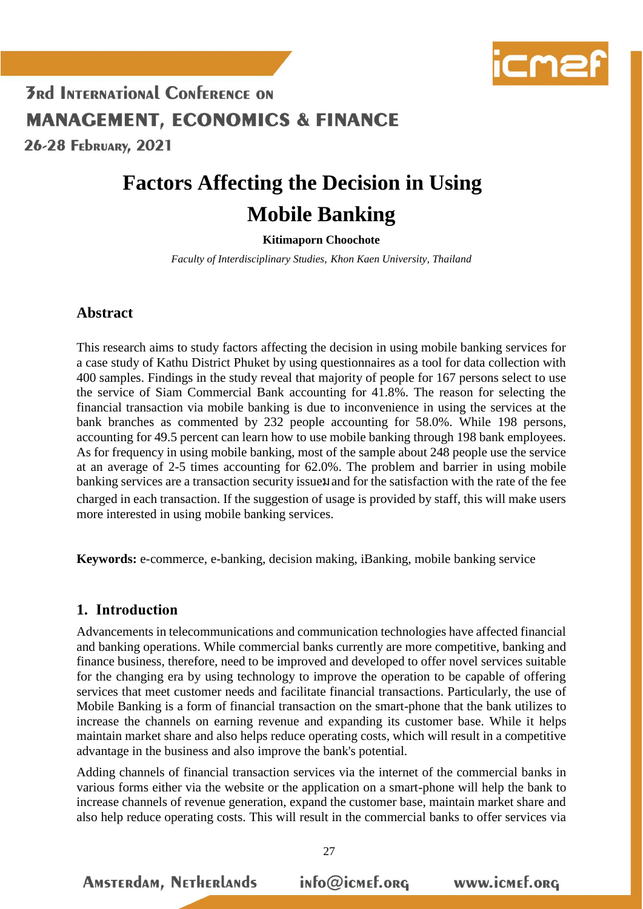

26-28 FEDRUARY, 2021

# **Factors Affecting the Decision in Using Mobile Banking**

#### **Kitimaporn Choochote**

*Faculty of Interdisciplinary Studies, Khon Kaen University, Thailand*

## **Abstract**

This research aims to study factors affecting the decision in using mobile banking services for a case study of Kathu District Phuket by using questionnaires as a tool for data collection with 400 samples. Findings in the study reveal that majority of people for 167 persons select to use the service of Siam Commercial Bank accounting for 41.8%. The reason for selecting the financial transaction via mobile banking is due to inconvenience in using the services at the bank branches as commented by 232 people accounting for 58.0%. While 198 persons, accounting for 49.5 percent can learn how to use mobile banking through 198 bank employees. As for frequency in using mobile banking, most of the sample about 248 people use the service at an average of 2-5 times accounting for 62.0%. The problem and barrier in using mobile banking services are a transaction security issuel and for the satisfaction with the rate of the fee charged in each transaction. If the suggestion of usage is provided by staff, this will make users more interested in using mobile banking services.

**Keywords:** e-commerce, e-banking, decision making, iBanking, mobile banking service

### **1. Introduction**

Advancements in telecommunications and communication technologies have affected financial and banking operations. While commercial banks currently are more competitive, banking and finance business, therefore, need to be improved and developed to offer novel services suitable for the changing era by using technology to improve the operation to be capable of offering services that meet customer needs and facilitate financial transactions. Particularly, the use of Mobile Banking is a form of financial transaction on the smart-phone that the bank utilizes to increase the channels on earning revenue and expanding its customer base. While it helps maintain market share and also helps reduce operating costs, which will result in a competitive advantage in the business and also improve the bank's potential.

Adding channels of financial transaction services via the internet of the commercial banks in various forms either via the website or the application on a smart-phone will help the bank to increase channels of revenue generation, expand the customer base, maintain market share and also help reduce operating costs. This will result in the commercial banks to offer services via

**AMSTERdAM, NETHERLANDS** info@icmef.org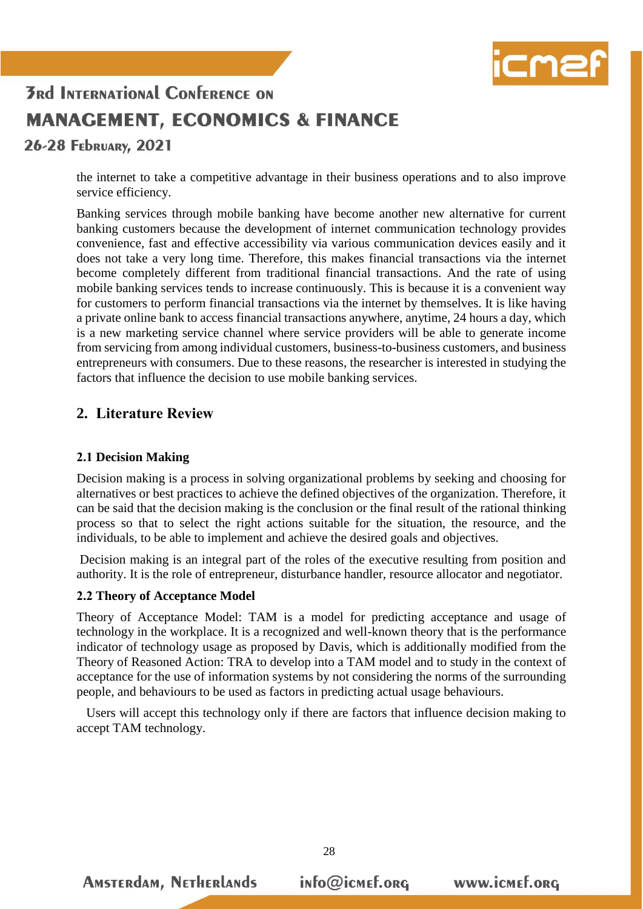

### 26-28 FEDRUARY, 2021

the internet to take a competitive advantage in their business operations and to also improve service efficiency.

Banking services through mobile banking have become another new alternative for current banking customers because the development of internet communication technology provides convenience, fast and effective accessibility via various communication devices easily and it does not take a very long time. Therefore, this makes financial transactions via the internet become completely different from traditional financial transactions. And the rate of using mobile banking services tends to increase continuously. This is because it is a convenient way for customers to perform financial transactions via the internet by themselves. It is like having a private online bank to access financial transactions anywhere, anytime, 24 hours a day, which is a new marketing service channel where service providers will be able to generate income from servicing from among individual customers, business-to-business customers, and business entrepreneurs with consumers. Due to these reasons, the researcher is interested in studying the factors that influence the decision to use mobile banking services.

### **2. Literature Review**

#### **2.1 Decision Making**

Decision making is a process in solving organizational problems by seeking and choosing for alternatives or best practices to achieve the defined objectives of the organization. Therefore, it can be said that the decision making is the conclusion or the final result of the rational thinking process so that to select the right actions suitable for the situation, the resource, and the individuals, to be able to implement and achieve the desired goals and objectives.

Decision making is an integral part of the roles of the executive resulting from position and authority. It is the role of entrepreneur, disturbance handler, resource allocator and negotiator.

#### **2.2 Theory of Acceptance Model**

**AMSTERdAM, NETHERLANDS** 

Theory of Acceptance Model: TAM is a model for predicting acceptance and usage of technology in the workplace. It is a recognized and well-known theory that is the performance indicator of technology usage as proposed by Davis, which is additionally modified from the Theory of Reasoned Action: TRA to develop into a TAM model and to study in the context of acceptance for the use of information systems by not considering the norms of the surrounding people, and behaviours to be used as factors in predicting actual usage behaviours.

 Users will accept this technology only if there are factors that influence decision making to accept TAM technology.

info@icmef.org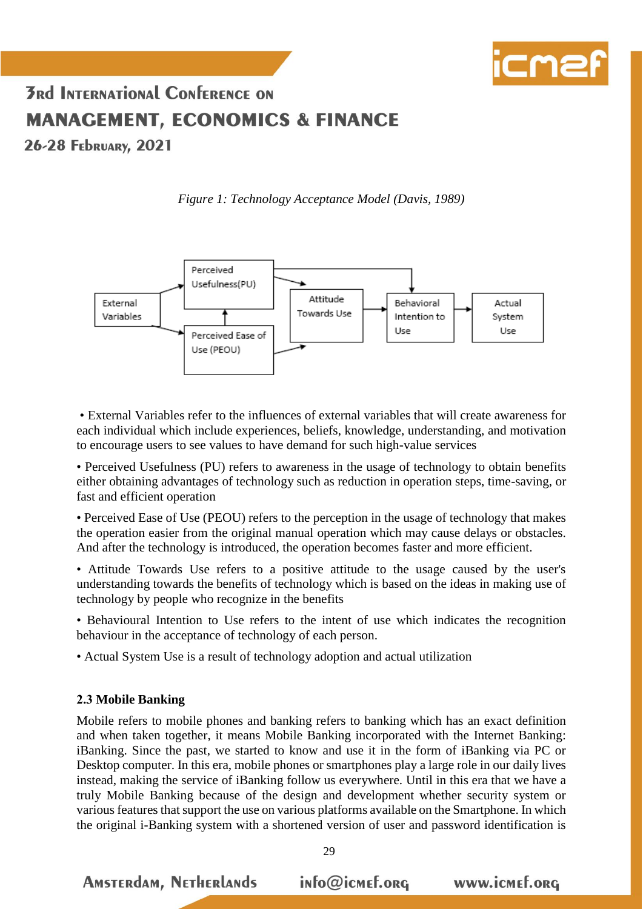

26-28 FEDRUARY, 2021

*Figure 1: Technology Acceptance Model (Davis, 1989)*



• External Variables refer to the influences of external variables that will create awareness for each individual which include experiences, beliefs, knowledge, understanding, and motivation to encourage users to see values to have demand for such high-value services

• Perceived Usefulness (PU) refers to awareness in the usage of technology to obtain benefits either obtaining advantages of technology such as reduction in operation steps, time-saving, or fast and efficient operation

• Perceived Ease of Use (PEOU) refers to the perception in the usage of technology that makes the operation easier from the original manual operation which may cause delays or obstacles. And after the technology is introduced, the operation becomes faster and more efficient.

• Attitude Towards Use refers to a positive attitude to the usage caused by the user's understanding towards the benefits of technology which is based on the ideas in making use of technology by people who recognize in the benefits

• Behavioural Intention to Use refers to the intent of use which indicates the recognition behaviour in the acceptance of technology of each person.

• Actual System Use is a result of technology adoption and actual utilization

#### **2.3 Mobile Banking**

**AMSTERDAM, NETHERLANDS** 

Mobile refers to mobile phones and banking refers to banking which has an exact definition and when taken together, it means Mobile Banking incorporated with the Internet Banking: iBanking. Since the past, we started to know and use it in the form of iBanking via PC or Desktop computer. In this era, mobile phones or smartphones play a large role in our daily lives instead, making the service of iBanking follow us everywhere. Until in this era that we have a truly Mobile Banking because of the design and development whether security system or various features that support the use on various platforms available on the Smartphone. In which the original i-Banking system with a shortened version of user and password identification is

info@icmef.org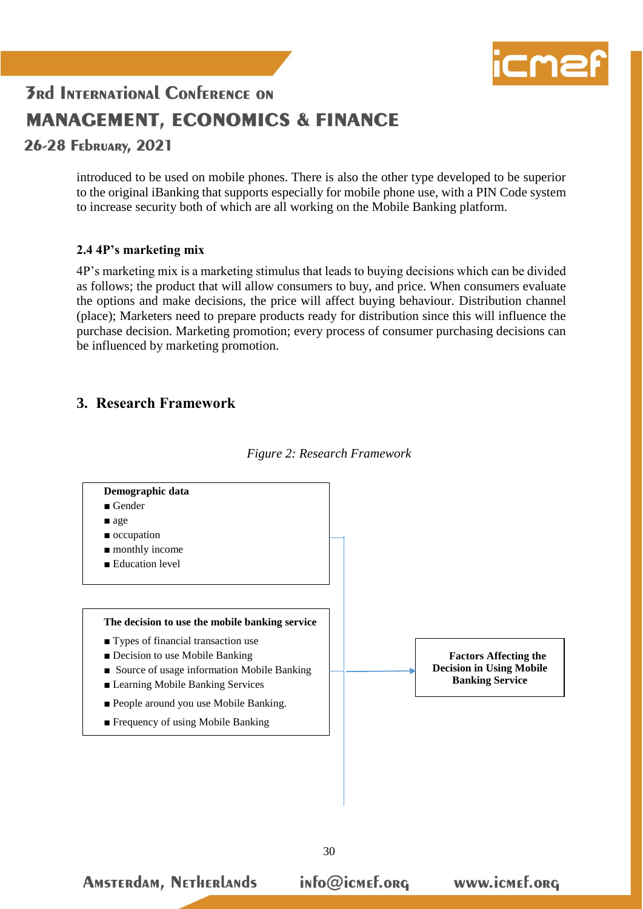

26-28 FEDRUARY, 2021

introduced to be used on mobile phones. There is also the other type developed to be superior to the original iBanking that supports especially for mobile phone use, with a PIN Code system to increase security both of which are all working on the Mobile Banking platform.

#### **2.4 4P's marketing mix**

4P's marketing mix is a marketing stimulus that leads to buying decisions which can be divided as follows; the product that will allow consumers to buy, and price. When consumers evaluate the options and make decisions, the price will affect buying behaviour. Distribution channel (place); Marketers need to prepare products ready for distribution since this will influence the purchase decision. Marketing promotion; every process of consumer purchasing decisions can be influenced by marketing promotion.

### **3. Research Framework**

**AMSTERdAM, NETHERLANDS** 



*Figure 2: Research Framework* 

info@icmef.org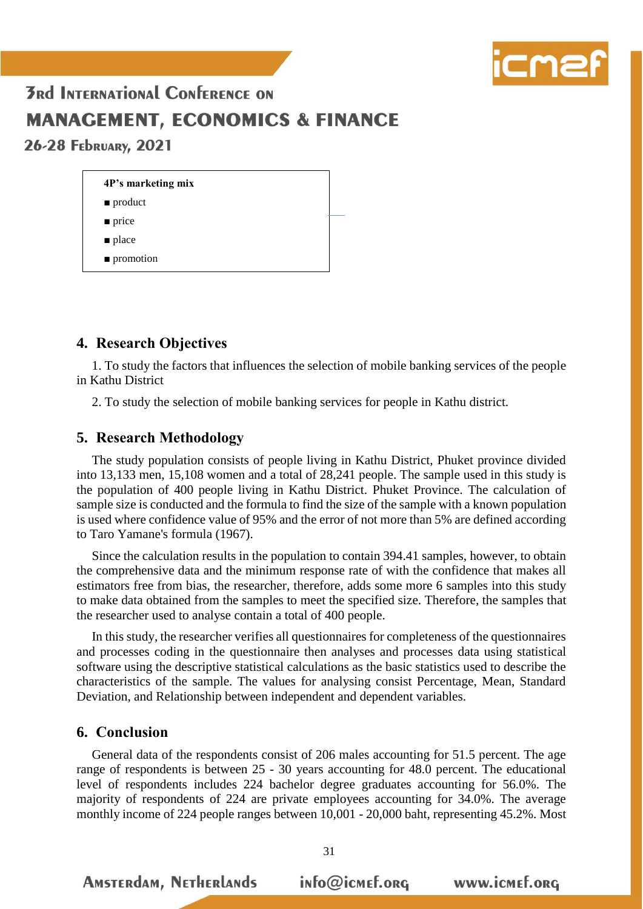

26-28 February, 2021

| 4P's marketing mix       |  |
|--------------------------|--|
| $\blacksquare$ product   |  |
| $\blacksquare$ price     |  |
| $\blacksquare$ place     |  |
| $\blacksquare$ promotion |  |

### **4. Research Objectives**

1. To study the factors that influences the selection of mobile banking services of the people in Kathu District

2. To study the selection of mobile banking services for people in Kathu district.

### **5. Research Methodology**

The study population consists of people living in Kathu District, Phuket province divided into 13,133 men, 15,108 women and a total of 28,241 people. The sample used in this study is the population of 400 people living in Kathu District. Phuket Province. The calculation of sample size is conducted and the formula to find the size of the sample with a known population is used where confidence value of 95% and the error of not more than 5% are defined according to Taro Yamane's formula (1967).

Since the calculation results in the population to contain 394.41 samples, however, to obtain the comprehensive data and the minimum response rate of with the confidence that makes all estimators free from bias, the researcher, therefore, adds some more 6 samples into this study to make data obtained from the samples to meet the specified size. Therefore, the samples that the researcher used to analyse contain a total of 400 people.

In this study, the researcher verifies all questionnaires for completeness of the questionnaires and processes coding in the questionnaire then analyses and processes data using statistical software using the descriptive statistical calculations as the basic statistics used to describe the characteristics of the sample. The values for analysing consist Percentage, Mean, Standard Deviation, and Relationship between independent and dependent variables.

#### **6. Conclusion**

**AMSTERdAM, NETHERLANDS** 

General data of the respondents consist of 206 males accounting for 51.5 percent. The age range of respondents is between 25 - 30 years accounting for 48.0 percent. The educational level of respondents includes 224 bachelor degree graduates accounting for 56.0%. The majority of respondents of 224 are private employees accounting for 34.0%. The average monthly income of 224 people ranges between 10,001 - 20,000 baht, representing 45.2%. Most

info@icmef.org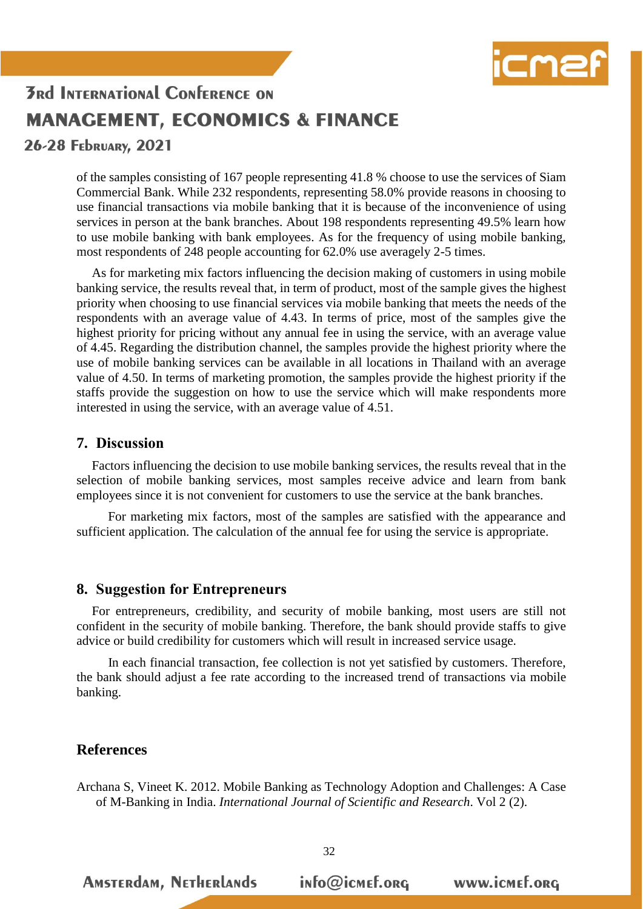

26-28 FEDRUARY, 2021

of the samples consisting of 167 people representing 41.8 % choose to use the services of Siam Commercial Bank. While 232 respondents, representing 58.0% provide reasons in choosing to use financial transactions via mobile banking that it is because of the inconvenience of using services in person at the bank branches. About 198 respondents representing 49.5% learn how to use mobile banking with bank employees. As for the frequency of using mobile banking, most respondents of 248 people accounting for 62.0% use averagely 2-5 times.

As for marketing mix factors influencing the decision making of customers in using mobile banking service, the results reveal that, in term of product, most of the sample gives the highest priority when choosing to use financial services via mobile banking that meets the needs of the respondents with an average value of 4.43. In terms of price, most of the samples give the highest priority for pricing without any annual fee in using the service, with an average value of 4.45. Regarding the distribution channel, the samples provide the highest priority where the use of mobile banking services can be available in all locations in Thailand with an average value of 4.50. In terms of marketing promotion, the samples provide the highest priority if the staffs provide the suggestion on how to use the service which will make respondents more interested in using the service, with an average value of 4.51.

#### **7. Discussion**

Factors influencing the decision to use mobile banking services, the results reveal that in the selection of mobile banking services, most samples receive advice and learn from bank employees since it is not convenient for customers to use the service at the bank branches.

 For marketing mix factors, most of the samples are satisfied with the appearance and sufficient application. The calculation of the annual fee for using the service is appropriate.

#### **8. Suggestion for Entrepreneurs**

**AMSTERdAM, NETHERLANDS** 

For entrepreneurs, credibility, and security of mobile banking, most users are still not confident in the security of mobile banking. Therefore, the bank should provide staffs to give advice or build credibility for customers which will result in increased service usage.

 In each financial transaction, fee collection is not yet satisfied by customers. Therefore, the bank should adjust a fee rate according to the increased trend of transactions via mobile banking.

#### **References**

Archana S, Vineet K. 2012. Mobile Banking as Technology Adoption and Challenges: A Case of M-Banking in India. *International Journal of Scientific and Research*. Vol 2 (2).

info@icmef.org